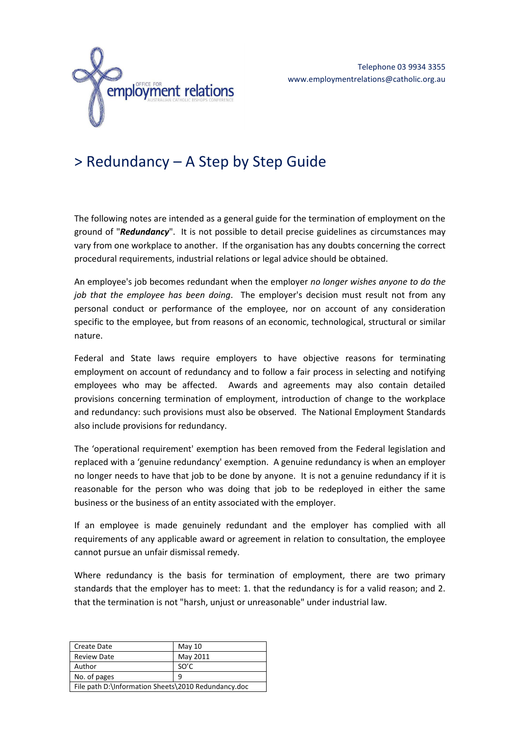

# > Redundancy – A Step by Step Guide

The following notes are intended as a general guide for the termination of employment on the ground of "*Redundancy*". It is not possible to detail precise guidelines as circumstances may vary from one workplace to another. If the organisation has any doubts concerning the correct procedural requirements, industrial relations or legal advice should be obtained.

An employee's job becomes redundant when the employer *no longer wishes anyone to do the job that the employee has been doing*. The employer's decision must result not from any personal conduct or performance of the employee, nor on account of any consideration specific to the employee, but from reasons of an economic, technological, structural or similar nature.

Federal and State laws require employers to have objective reasons for terminating employment on account of redundancy and to follow a fair process in selecting and notifying employees who may be affected. Awards and agreements may also contain detailed provisions concerning termination of employment, introduction of change to the workplace and redundancy: such provisions must also be observed. The National Employment Standards also include provisions for redundancy.

The 'operational requirement' exemption has been removed from the Federal legislation and replaced with a 'genuine redundancy' exemption. A genuine redundancy is when an employer no longer needs to have that job to be done by anyone. It is not a genuine redundancy if it is reasonable for the person who was doing that job to be redeployed in either the same business or the business of an entity associated with the employer.

If an employee is made genuinely redundant and the employer has complied with all requirements of any applicable award or agreement in relation to consultation, the employee cannot pursue an unfair dismissal remedy.

Where redundancy is the basis for termination of employment, there are two primary standards that the employer has to meet: 1. that the redundancy is for a valid reason; and 2. that the termination is not "harsh, unjust or unreasonable" under industrial law.

| Create Date                                         | May $10$ |
|-----------------------------------------------------|----------|
| <b>Review Date</b>                                  | May 2011 |
| Author                                              | SO'C     |
| No. of pages<br>q                                   |          |
| File path D:\Information Sheets\2010 Redundancy.doc |          |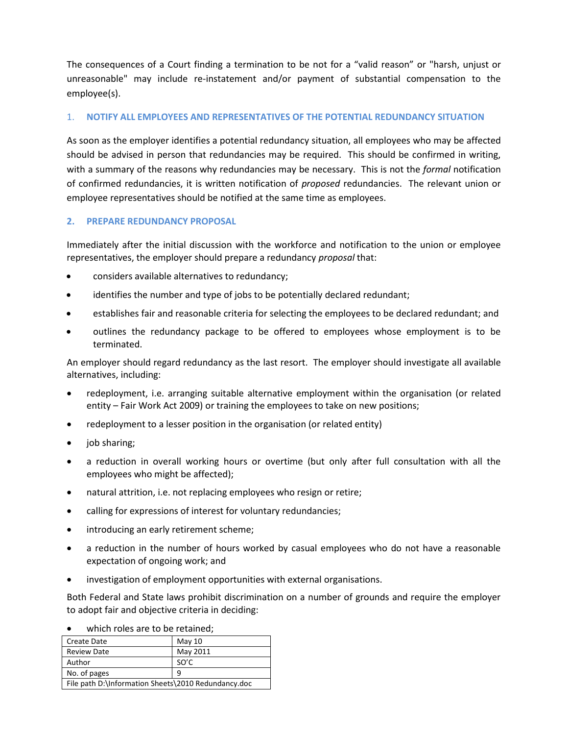The consequences of a Court finding a termination to be not for a "valid reason" or "harsh, unjust or unreasonable" may include re-instatement and/or payment of substantial compensation to the employee(s).

### 1. **NOTIFY ALL EMPLOYEES AND REPRESENTATIVES OF THE POTENTIAL REDUNDANCY SITUATION**

As soon as the employer identifies a potential redundancy situation, all employees who may be affected should be advised in person that redundancies may be required. This should be confirmed in writing, with a summary of the reasons why redundancies may be necessary. This is not the *formal* notification of confirmed redundancies, it is written notification of *proposed* redundancies. The relevant union or employee representatives should be notified at the same time as employees.

#### **2. PREPARE REDUNDANCY PROPOSAL**

Immediately after the initial discussion with the workforce and notification to the union or employee representatives, the employer should prepare a redundancy *proposal* that:

- considers available alternatives to redundancy;
- identifies the number and type of jobs to be potentially declared redundant;
- establishes fair and reasonable criteria for selecting the employees to be declared redundant; and
- outlines the redundancy package to be offered to employees whose employment is to be terminated.

An employer should regard redundancy as the last resort. The employer should investigate all available alternatives, including:

- redeployment, i.e. arranging suitable alternative employment within the organisation (or related entity – Fair Work Act 2009) or training the employees to take on new positions;
- redeployment to a lesser position in the organisation (or related entity)
- job sharing;
- a reduction in overall working hours or overtime (but only after full consultation with all the employees who might be affected);
- natural attrition, i.e. not replacing employees who resign or retire;
- calling for expressions of interest for voluntary redundancies;
- introducing an early retirement scheme;
- a reduction in the number of hours worked by casual employees who do not have a reasonable expectation of ongoing work; and
- investigation of employment opportunities with external organisations.

Both Federal and State laws prohibit discrimination on a number of grounds and require the employer to adopt fair and objective criteria in deciding:

| Create Date                                         | May $10$ |
|-----------------------------------------------------|----------|
| <b>Review Date</b>                                  | May 2011 |
| Author                                              | SO'C     |
| No. of pages<br>٩                                   |          |
| File path D:\Information Sheets\2010 Redundancy.doc |          |

which roles are to be retained;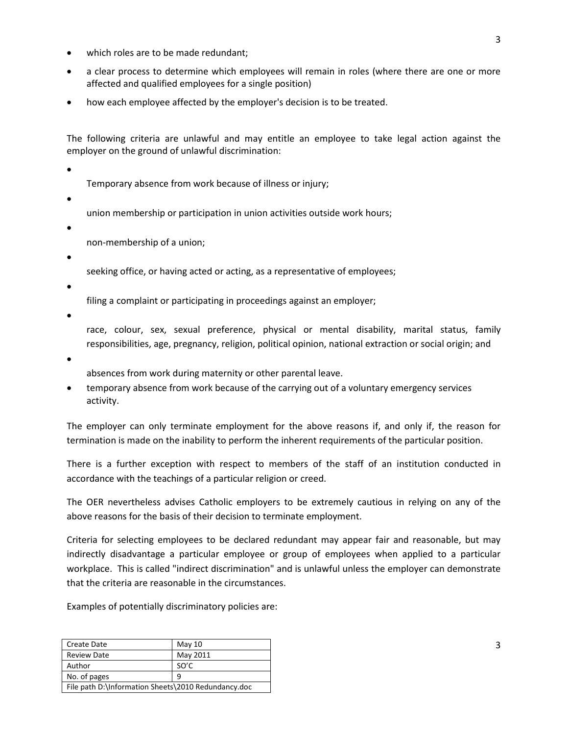- which roles are to be made redundant;
- a clear process to determine which employees will remain in roles (where there are one or more affected and qualified employees for a single position)
- how each employee affected by the employer's decision is to be treated.

The following criteria are unlawful and may entitle an employee to take legal action against the employer on the ground of unlawful discrimination:

 $\bullet$  the contract of the contract of the contract of the contract of the contract of the contract of the contract of the contract of the contract of the contract of the contract of the contract of the contract of the cont

Temporary absence from work because of illness or injury;

 $\bullet$  . The contract of the contract of the contract of the contract of the contract of the contract of the contract of the contract of the contract of the contract of the contract of the contract of the contract of the co

union membership or participation in union activities outside work hours;

n and the state of the state of the state of the state of the state of the state of the state of the state of

non-membership of a union;

 $\bullet$  such that the contract of  $\bullet$  such that the contract of  $\bullet$  such that the contract of  $\bullet$ 

seeking office, or having acted or acting, as a representative of employees;

 $\bullet$  for a set of  $\bullet$  for a set of  $\bullet$  for  $\bullet$  for  $\bullet$  for  $\bullet$  for  $\bullet$  for  $\bullet$  for  $\bullet$  for  $\bullet$  for  $\bullet$ 

filing a complaint or participating in proceedings against an employer;

 $\bullet$  results to the contract of the contract of the contract of the contract of the contract of the contract of the contract of the contract of the contract of the contract of the contract of the contract of the contract

race, colour, sex, sexual preference, physical or mental disability, marital status, family responsibilities, age, pregnancy, religion, political opinion, national extraction or social origin; and

 $\bullet$  and the contract of the contract of the contract of the contract of the contract of the contract of the contract of the contract of the contract of the contract of the contract of the contract of the contract of the

absences from work during maternity or other parental leave.

 temporary absence from work because of the carrying out of a voluntary emergency services activity.

The employer can only terminate employment for the above reasons if, and only if, the reason for termination is made on the inability to perform the inherent requirements of the particular position.

There is a further exception with respect to members of the staff of an institution conducted in accordance with the teachings of a particular religion or creed.

The OER nevertheless advises Catholic employers to be extremely cautious in relying on any of the above reasons for the basis of their decision to terminate employment.

Criteria for selecting employees to be declared redundant may appear fair and reasonable, but may indirectly disadvantage a particular employee or group of employees when applied to a particular workplace. This is called "indirect discrimination" and is unlawful unless the employer can demonstrate that the criteria are reasonable in the circumstances.

Examples of potentially discriminatory policies are:

| <b>Create Date</b>                                  | May 10   |
|-----------------------------------------------------|----------|
| <b>Review Date</b>                                  | May 2011 |
| Author                                              | SO'C     |
| No. of pages                                        | q        |
| File path D:\Information Sheets\2010 Redundancy.doc |          |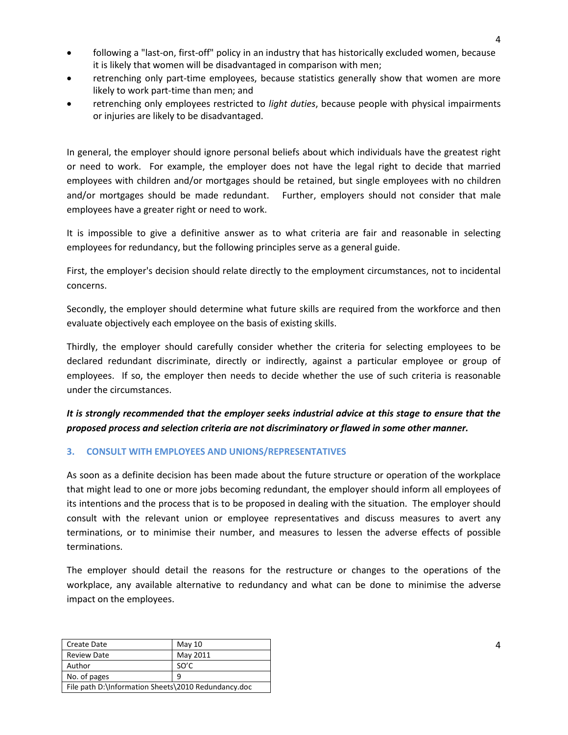- following a "last-on, first-off" policy in an industry that has historically excluded women, because it is likely that women will be disadvantaged in comparison with men;
- retrenching only part-time employees, because statistics generally show that women are more likely to work part-time than men; and
- retrenching only employees restricted to *light duties*, because people with physical impairments or injuries are likely to be disadvantaged.

In general, the employer should ignore personal beliefs about which individuals have the greatest right or need to work. For example, the employer does not have the legal right to decide that married employees with children and/or mortgages should be retained, but single employees with no children and/or mortgages should be made redundant. Further, employers should not consider that male employees have a greater right or need to work.

It is impossible to give a definitive answer as to what criteria are fair and reasonable in selecting employees for redundancy, but the following principles serve as a general guide.

First, the employer's decision should relate directly to the employment circumstances, not to incidental concerns.

Secondly, the employer should determine what future skills are required from the workforce and then evaluate objectively each employee on the basis of existing skills.

Thirdly, the employer should carefully consider whether the criteria for selecting employees to be declared redundant discriminate, directly or indirectly, against a particular employee or group of employees. If so, the employer then needs to decide whether the use of such criteria is reasonable under the circumstances.

### *It is strongly recommended that the employer seeks industrial advice at this stage to ensure that the proposed process and selection criteria are not discriminatory or flawed in some other manner.*

#### **3. CONSULT WITH EMPLOYEES AND UNIONS/REPRESENTATIVES**

As soon as a definite decision has been made about the future structure or operation of the workplace that might lead to one or more jobs becoming redundant, the employer should inform all employees of its intentions and the process that is to be proposed in dealing with the situation. The employer should consult with the relevant union or employee representatives and discuss measures to avert any terminations, or to minimise their number, and measures to lessen the adverse effects of possible terminations.

The employer should detail the reasons for the restructure or changes to the operations of the workplace, any available alternative to redundancy and what can be done to minimise the adverse impact on the employees.

| Create Date                                         | May $10$ |
|-----------------------------------------------------|----------|
| <b>Review Date</b>                                  | May 2011 |
| Author                                              | SO'C     |
| No. of pages                                        | q        |
| File path D:\Information Sheets\2010 Redundancy.doc |          |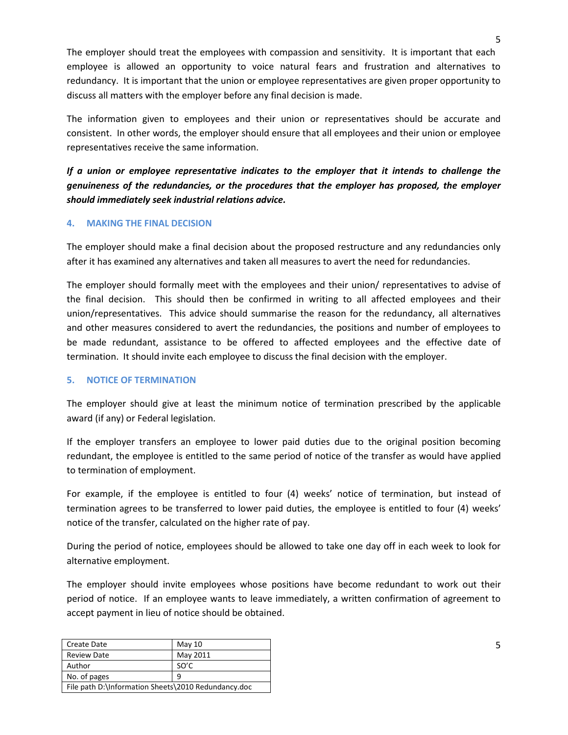The employer should treat the employees with compassion and sensitivity. It is important that each employee is allowed an opportunity to voice natural fears and frustration and alternatives to redundancy. It is important that the union or employee representatives are given proper opportunity to discuss all matters with the employer before any final decision is made.

The information given to employees and their union or representatives should be accurate and consistent. In other words, the employer should ensure that all employees and their union or employee representatives receive the same information.

*If a union or employee representative indicates to the employer that it intends to challenge the genuineness of the redundancies, or the procedures that the employer has proposed, the employer should immediately seek industrial relations advice.*

#### **4. MAKING THE FINAL DECISION**

The employer should make a final decision about the proposed restructure and any redundancies only after it has examined any alternatives and taken all measures to avert the need for redundancies.

The employer should formally meet with the employees and their union/ representatives to advise of the final decision. This should then be confirmed in writing to all affected employees and their union/representatives. This advice should summarise the reason for the redundancy, all alternatives and other measures considered to avert the redundancies, the positions and number of employees to be made redundant, assistance to be offered to affected employees and the effective date of termination. It should invite each employee to discuss the final decision with the employer.

#### **5. NOTICE OF TERMINATION**

The employer should give at least the minimum notice of termination prescribed by the applicable award (if any) or Federal legislation.

If the employer transfers an employee to lower paid duties due to the original position becoming redundant, the employee is entitled to the same period of notice of the transfer as would have applied to termination of employment.

For example, if the employee is entitled to four (4) weeks' notice of termination, but instead of termination agrees to be transferred to lower paid duties, the employee is entitled to four (4) weeks' notice of the transfer, calculated on the higher rate of pay.

During the period of notice, employees should be allowed to take one day off in each week to look for alternative employment.

The employer should invite employees whose positions have become redundant to work out their period of notice. If an employee wants to leave immediately, a written confirmation of agreement to accept payment in lieu of notice should be obtained.

| Create Date                                         | May $10$ |
|-----------------------------------------------------|----------|
| <b>Review Date</b>                                  | May 2011 |
| Author                                              | SO'C     |
| No. of pages                                        | 9        |
| File path D:\Information Sheets\2010 Redundancy.doc |          |

5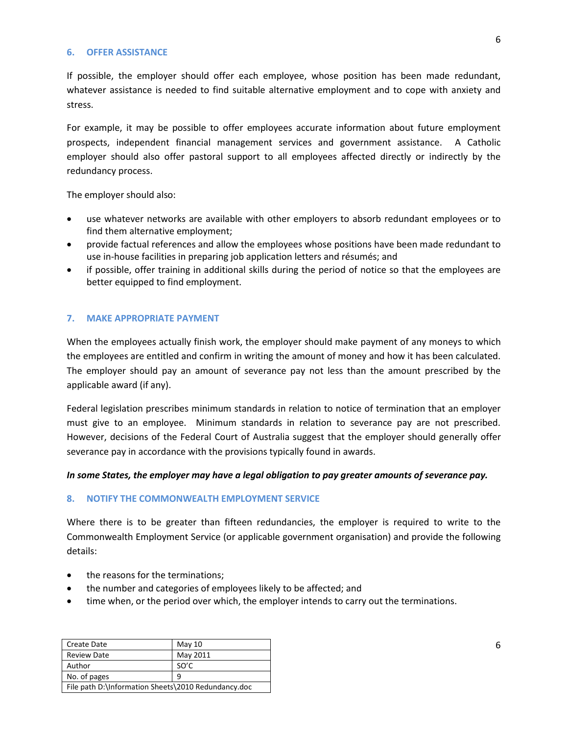#### **6. OFFER ASSISTANCE**

If possible, the employer should offer each employee, whose position has been made redundant, whatever assistance is needed to find suitable alternative employment and to cope with anxiety and stress.

For example, it may be possible to offer employees accurate information about future employment prospects, independent financial management services and government assistance. A Catholic employer should also offer pastoral support to all employees affected directly or indirectly by the redundancy process.

The employer should also:

- use whatever networks are available with other employers to absorb redundant employees or to find them alternative employment;
- provide factual references and allow the employees whose positions have been made redundant to use in-house facilities in preparing job application letters and résumés; and
- if possible, offer training in additional skills during the period of notice so that the employees are better equipped to find employment.

#### **7. MAKE APPROPRIATE PAYMENT**

When the employees actually finish work, the employer should make payment of any moneys to which the employees are entitled and confirm in writing the amount of money and how it has been calculated. The employer should pay an amount of severance pay not less than the amount prescribed by the applicable award (if any).

Federal legislation prescribes minimum standards in relation to notice of termination that an employer must give to an employee. Minimum standards in relation to severance pay are not prescribed. However, decisions of the Federal Court of Australia suggest that the employer should generally offer severance pay in accordance with the provisions typically found in awards.

#### *In some States, the employer may have a legal obligation to pay greater amounts of severance pay.*

#### **8. NOTIFY THE COMMONWEALTH EMPLOYMENT SERVICE**

Where there is to be greater than fifteen redundancies, the employer is required to write to the Commonwealth Employment Service (or applicable government organisation) and provide the following details:

- the reasons for the terminations;
- the number and categories of employees likely to be affected; and
- time when, or the period over which, the employer intends to carry out the terminations.

| <b>Create Date</b>                                  | May $10$ |
|-----------------------------------------------------|----------|
| <b>Review Date</b>                                  | May 2011 |
| Author                                              | SO'C     |
| No. of pages<br>٩                                   |          |
| File path D:\Information Sheets\2010 Redundancy.doc |          |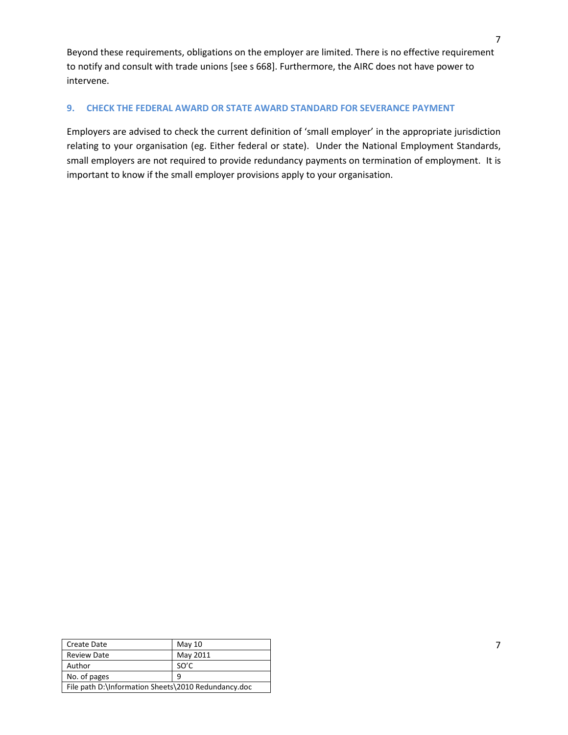Beyond these requirements, obligations on the employer are limited. There is no effective requirement to notify and consult with trade unions [see s 668]. Furthermore, the AIRC does not have power to intervene.

#### **9. CHECK THE FEDERAL AWARD OR STATE AWARD STANDARD FOR SEVERANCE PAYMENT**

Employers are advised to check the current definition of 'small employer' in the appropriate jurisdiction relating to your organisation (eg. Either federal or state). Under the National Employment Standards, small employers are not required to provide redundancy payments on termination of employment. It is important to know if the small employer provisions apply to your organisation.

| <b>Create Date</b>                                  | May $10$ |
|-----------------------------------------------------|----------|
| <b>Review Date</b>                                  | May 2011 |
| Author                                              | SO'C     |
| No. of pages                                        | ٩        |
| File path D:\Information Sheets\2010 Redundancy.doc |          |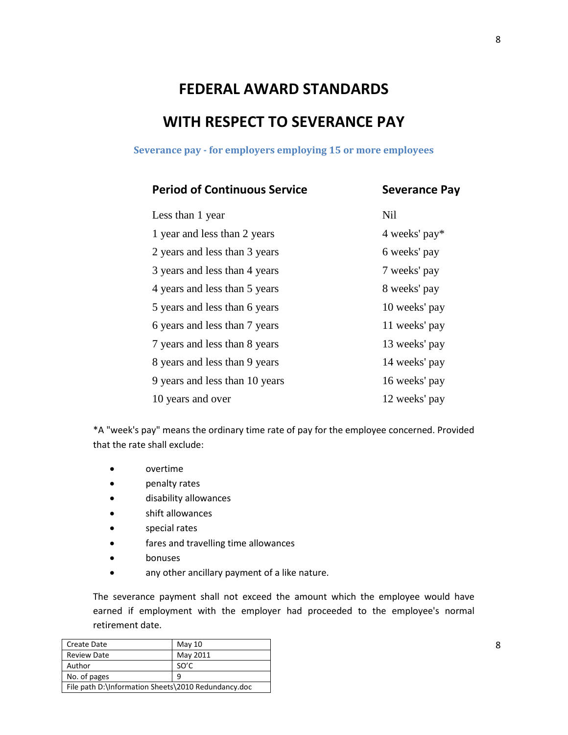# **FEDERAL AWARD STANDARDS WITH RESPECT TO SEVERANCE PAY**

**Severance pay - for employers employing 15 or more employees**

## **Period of Continuous Service Severance Pay**

| Less than 1 year               | <b>Nil</b>    |
|--------------------------------|---------------|
| 1 year and less than 2 years   | 4 weeks' pay* |
| 2 years and less than 3 years  | 6 weeks' pay  |
| 3 years and less than 4 years  | 7 weeks' pay  |
| 4 years and less than 5 years  | 8 weeks' pay  |
| 5 years and less than 6 years  | 10 weeks' pay |
| 6 years and less than 7 years  | 11 weeks' pay |
| 7 years and less than 8 years  | 13 weeks' pay |
| 8 years and less than 9 years  | 14 weeks' pay |
| 9 years and less than 10 years | 16 weeks' pay |
| 10 years and over              | 12 weeks' pay |

\*A "week's pay" means the ordinary time rate of pay for the employee concerned. Provided that the rate shall exclude:

- overtime
- penalty rates
- disability allowances
- shift allowances
- special rates
- fares and travelling time allowances
- bonuses
- any other ancillary payment of a like nature.

The severance payment shall not exceed the amount which the employee would have earned if employment with the employer had proceeded to the employee's normal retirement date.

| Create Date                                         | May $10$ |
|-----------------------------------------------------|----------|
| <b>Review Date</b>                                  | May 2011 |
| Author                                              | SO'C     |
| No. of pages<br>q                                   |          |
| File path D:\Information Sheets\2010 Redundancy.doc |          |